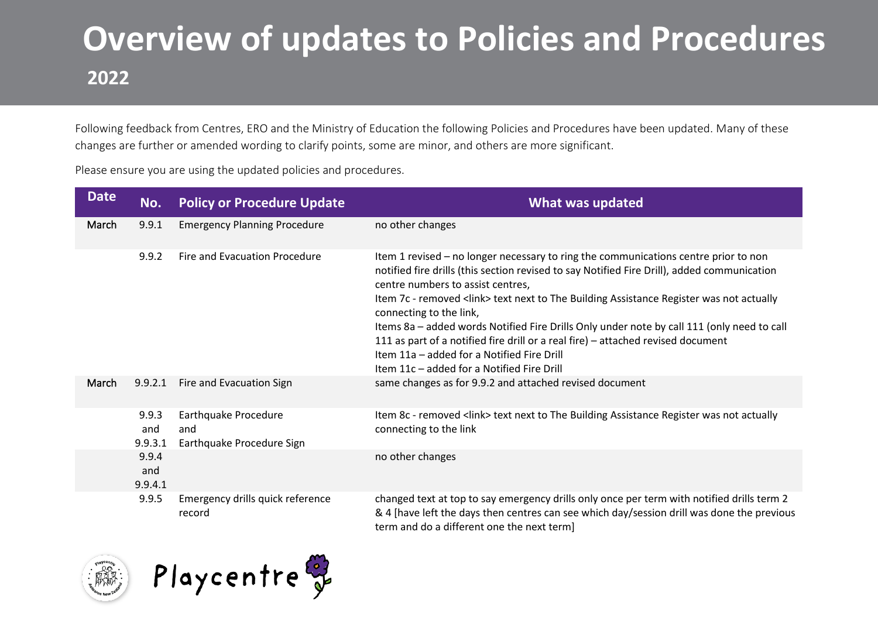### **Overview of updates to Policies and Procedures 2022**

Following feedback from Centres, ERO and the Ministry of Education the following Policies and Procedures have been updated. Many of these changes are further or amended wording to clarify points, some are minor, and others are more significant.

Please ensure you are using the updated policies and procedures.

| <b>Date</b> | No.                     | <b>Policy or Procedure Update</b>                        | What was updated                                                                                                                                                                                                                                                                                                                                                                                                                                                                                                                                                                                                             |
|-------------|-------------------------|----------------------------------------------------------|------------------------------------------------------------------------------------------------------------------------------------------------------------------------------------------------------------------------------------------------------------------------------------------------------------------------------------------------------------------------------------------------------------------------------------------------------------------------------------------------------------------------------------------------------------------------------------------------------------------------------|
| March       | 9.9.1                   | <b>Emergency Planning Procedure</b>                      | no other changes                                                                                                                                                                                                                                                                                                                                                                                                                                                                                                                                                                                                             |
|             | 9.9.2                   | Fire and Evacuation Procedure                            | Item 1 revised - no longer necessary to ring the communications centre prior to non<br>notified fire drills (this section revised to say Notified Fire Drill), added communication<br>centre numbers to assist centres,<br>Item 7c - removed <link/> text next to The Building Assistance Register was not actually<br>connecting to the link,<br>Items 8a - added words Notified Fire Drills Only under note by call 111 (only need to call<br>111 as part of a notified fire drill or a real fire) - attached revised document<br>Item 11a - added for a Notified Fire Drill<br>Item 11c - added for a Notified Fire Drill |
| March       | 9.9.2.1                 | Fire and Evacuation Sign                                 | same changes as for 9.9.2 and attached revised document                                                                                                                                                                                                                                                                                                                                                                                                                                                                                                                                                                      |
|             | 9.9.3<br>and<br>9.9.3.1 | Earthquake Procedure<br>and<br>Earthquake Procedure Sign | Item 8c - removed <link/> text next to The Building Assistance Register was not actually<br>connecting to the link                                                                                                                                                                                                                                                                                                                                                                                                                                                                                                           |
|             | 9.9.4<br>and<br>9.9.4.1 |                                                          | no other changes                                                                                                                                                                                                                                                                                                                                                                                                                                                                                                                                                                                                             |
|             | 9.9.5                   | Emergency drills quick reference<br>record               | changed text at top to say emergency drills only once per term with notified drills term 2<br>& 4 [have left the days then centres can see which day/session drill was done the previous<br>term and do a different one the next term]                                                                                                                                                                                                                                                                                                                                                                                       |

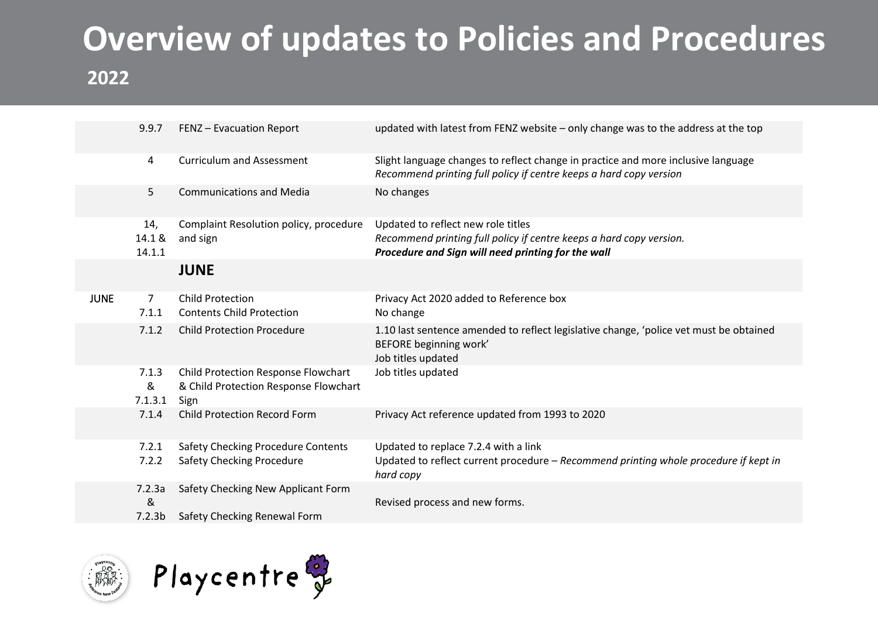## **Overview of updates to Policies and Procedures**

#### **2022**

|             | 9.9.7                   | FENZ - Evacuation Report                                                             | updated with latest from FENZ website - only change was to the address at the top                                                                               |
|-------------|-------------------------|--------------------------------------------------------------------------------------|-----------------------------------------------------------------------------------------------------------------------------------------------------------------|
|             | 4                       | <b>Curriculum and Assessment</b>                                                     | Slight language changes to reflect change in practice and more inclusive language<br>Recommend printing full policy if centre keeps a hard copy version         |
|             | 5                       | <b>Communications and Media</b>                                                      | No changes                                                                                                                                                      |
|             | 14,<br>14.1 &<br>14.1.1 | Complaint Resolution policy, procedure<br>and sign                                   | Updated to reflect new role titles<br>Recommend printing full policy if centre keeps a hard copy version.<br>Procedure and Sign will need printing for the wall |
|             |                         | <b>JUNE</b>                                                                          |                                                                                                                                                                 |
| <b>JUNE</b> | $\overline{7}$<br>7.1.1 | <b>Child Protection</b><br><b>Contents Child Protection</b>                          | Privacy Act 2020 added to Reference box<br>No change                                                                                                            |
|             | 7.1.2                   | <b>Child Protection Procedure</b>                                                    | 1.10 last sentence amended to reflect legislative change, 'police vet must be obtained<br>BEFORE beginning work'<br>Job titles updated                          |
|             | 7.1.3<br>&<br>7.1.3.1   | Child Protection Response Flowchart<br>& Child Protection Response Flowchart<br>Sign | Job titles updated                                                                                                                                              |
|             | 7.1.4                   | <b>Child Protection Record Form</b>                                                  | Privacy Act reference updated from 1993 to 2020                                                                                                                 |
|             | 7.2.1                   | <b>Safety Checking Procedure Contents</b>                                            | Updated to replace 7.2.4 with a link                                                                                                                            |
|             | 7.2.2                   | <b>Safety Checking Procedure</b>                                                     | Updated to reflect current procedure - Recommend printing whole procedure if kept in<br>hard copy                                                               |
|             | 7.2.3a<br>&             | Safety Checking New Applicant Form                                                   | Revised process and new forms.                                                                                                                                  |
|             | 7.2.3 <sub>b</sub>      | Safety Checking Renewal Form                                                         |                                                                                                                                                                 |